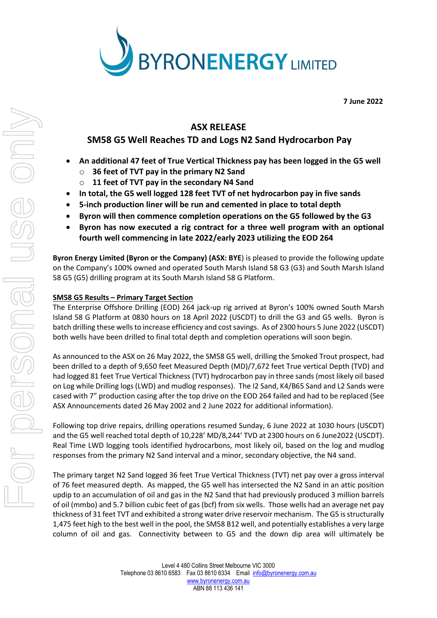

**7 June 2022**

## **ASX RELEASE**

# **SM58 G5 Well Reaches TD and Logs N2 Sand Hydrocarbon Pay**

- **An additional 47 feet of True Vertical Thickness pay has been logged in the G5 well**
	- o **36 feet of TVT pay in the primary N2 Sand**
	- o **11 feet of TVT pay in the secondary N4 Sand**
- **In total, the G5 well logged 128 feet TVT of net hydrocarbon pay in five sands**
- **5-inch production liner will be run and cemented in place to total depth**
- **Byron will then commence completion operations on the G5 followed by the G3**
- **Byron has now executed a rig contract for a three well program with an optional fourth well commencing in late 2022/early 2023 utilizing the EOD 264**

**Byron Energy Limited (Byron or the Company) (ASX: BYE**) is pleased to provide the following update on the Company's 100% owned and operated South Marsh Island 58 G3 (G3) and South Marsh Island 58 G5 (G5) drilling program at its South Marsh Island 58 G Platform.

## **SM58 G5 Results – Primary Target Section**

The Enterprise Offshore Drilling (EOD) 264 jack-up rig arrived at Byron's 100% owned South Marsh Island 58 G Platform at 0830 hours on 18 April 2022 (USCDT) to drill the G3 and G5 wells. Byron is batch drilling these wells to increase efficiency and cost savings. As of 2300 hours 5 June 2022 (USCDT) both wells have been drilled to final total depth and completion operations will soon begin.

As announced to the ASX on 26 May 2022, the SM58 G5 well, drilling the Smoked Trout prospect, had been drilled to a depth of 9,650 feet Measured Depth (MD)/7,672 feet True vertical Depth (TVD) and had logged 81 feet True Vertical Thickness (TVT) hydrocarbon pay in three sands (most likely oil based on Log while Drilling logs (LWD) and mudlog responses). The I2 Sand, K4/B65 Sand and L2 Sands were cased with 7" production casing after the top drive on the EOD 264 failed and had to be replaced (See ASX Announcements dated 26 May 2002 and 2 June 2022 for additional information).

Following top drive repairs, drilling operations resumed Sunday, 6 June 2022 at 1030 hours (USCDT) and the G5 well reached total depth of 10,228' MD/8,244' TVD at 2300 hours on 6 June2022 (USCDT). Real Time LWD logging tools identified hydrocarbons, most likely oil, based on the log and mudlog responses from the primary N2 Sand interval and a minor, secondary objective, the N4 sand.

The primary target N2 Sand logged 36 feet True Vertical Thickness (TVT) net pay over a gross interval of 76 feet measured depth. As mapped, the G5 well has intersected the N2 Sand in an attic position updip to an accumulation of oil and gas in the N2 Sand that had previously produced 3 million barrels of oil (mmbo) and 5.7 billion cubic feet of gas (bcf) from six wells. Those wells had an average net pay thickness of 31 feet TVT and exhibited a strong water drive reservoir mechanism. The G5 is structurally 1,475 feet high to the best well in the pool, the SM58 B12 well, and potentially establishes a very large column of oil and gas. Connectivity between to G5 and the down dip area will ultimately be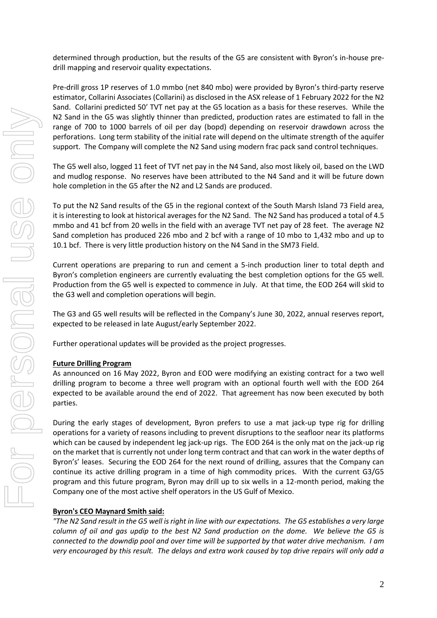determined through production, but the results of the G5 are consistent with Byron's in-house predrill mapping and reservoir quality expectations.

Pre-drill gross 1P reserves of 1.0 mmbo (net 840 mbo) were provided by Byron's third-party reserve estimator, Collarini Associates (Collarini) as disclosed in the ASX release of 1 February 2022 for the N2 Sand. Collarini predicted 50' TVT net pay at the G5 location as a basis for these reserves. While the N2 Sand in the G5 was slightly thinner than predicted, production rates are estimated to fall in the range of 700 to 1000 barrels of oil per day (bopd) depending on reservoir drawdown across the perforations. Long term stability of the initial rate will depend on the ultimate strength of the aquifer support. The Company will complete the N2 Sand using modern frac pack sand control techniques.

The G5 well also, logged 11 feet of TVT net pay in the N4 Sand, also most likely oil, based on the LWD and mudlog response. No reserves have been attributed to the N4 Sand and it will be future down hole completion in the G5 after the N2 and L2 Sands are produced.

To put the N2 Sand results of the G5 in the regional context of the South Marsh Island 73 Field area, it is interesting to look at historical averages for the N2 Sand. The N2 Sand has produced a total of 4.5 mmbo and 41 bcf from 20 wells in the field with an average TVT net pay of 28 feet. The average N2 Sand completion has produced 226 mbo and 2 bcf with a range of 10 mbo to 1,432 mbo and up to 10.1 bcf. There is very little production history on the N4 Sand in the SM73 Field.

Current operations are preparing to run and cement a 5-inch production liner to total depth and Byron's completion engineers are currently evaluating the best completion options for the G5 well. Production from the G5 well is expected to commence in July. At that time, the EOD 264 will skid to the G3 well and completion operations will begin.

The G3 and G5 well results will be reflected in the Company's June 30, 2022, annual reserves report, expected to be released in late August/early September 2022.

Further operational updates will be provided as the project progresses.

### **Future Drilling Program**

As announced on 16 May 2022, Byron and EOD were modifying an existing contract for a two well drilling program to become a three well program with an optional fourth well with the EOD 264 expected to be available around the end of 2022. That agreement has now been executed by both parties.

During the early stages of development, Byron prefers to use a mat jack-up type rig for drilling operations for a variety of reasons including to prevent disruptions to the seafloor near its platforms which can be caused by independent leg jack-up rigs. The EOD 264 is the only mat on the jack-up rig on the market that is currently not under long term contract and that can work in the water depths of Byron's' leases. Securing the EOD 264 for the next round of drilling, assures that the Company can continue its active drilling program in a time of high commodity prices. With the current G3/G5 program and this future program, Byron may drill up to six wells in a 12-month period, making the Company one of the most active shelf operators in the US Gulf of Mexico.

### **Byron's CEO Maynard Smith said:**

*"The N2 Sand result in the G5 well is right in line with our expectations. The G5 establishes a very large column of oil and gas updip to the best N2 Sand production on the dome. We believe the G5 is connected to the downdip pool and over time will be supported by that water drive mechanism. I am very encouraged by this result. The delays and extra work caused by top drive repairs will only add a*